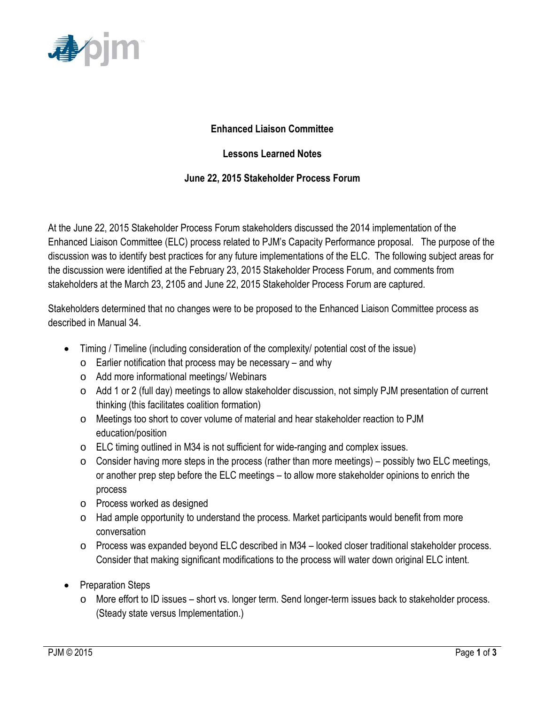

## **Enhanced Liaison Committee**

## **Lessons Learned Notes**

## **June 22, 2015 Stakeholder Process Forum**

At the June 22, 2015 Stakeholder Process Forum stakeholders discussed the 2014 implementation of the Enhanced Liaison Committee (ELC) process related to PJM's Capacity Performance proposal. The purpose of the discussion was to identify best practices for any future implementations of the ELC. The following subject areas for the discussion were identified at the February 23, 2015 Stakeholder Process Forum, and comments from stakeholders at the March 23, 2105 and June 22, 2015 Stakeholder Process Forum are captured.

Stakeholders determined that no changes were to be proposed to the Enhanced Liaison Committee process as described in Manual 34.

- Timing / Timeline (including consideration of the complexity / potential cost of the issue)
	- $\circ$  Earlier notification that process may be necessary and why
	- o Add more informational meetings/ Webinars
	- o Add 1 or 2 (full day) meetings to allow stakeholder discussion, not simply PJM presentation of current thinking (this facilitates coalition formation)
	- o Meetings too short to cover volume of material and hear stakeholder reaction to PJM education/position
	- o ELC timing outlined in M34 is not sufficient for wide-ranging and complex issues.
	- $\circ$  Consider having more steps in the process (rather than more meetings) possibly two ELC meetings, or another prep step before the ELC meetings – to allow more stakeholder opinions to enrich the process
	- o Process worked as designed
	- o Had ample opportunity to understand the process. Market participants would benefit from more conversation
	- o Process was expanded beyond ELC described in M34 looked closer traditional stakeholder process. Consider that making significant modifications to the process will water down original ELC intent.
- Preparation Steps
	- o More effort to ID issues short vs. longer term. Send longer-term issues back to stakeholder process. (Steady state versus Implementation.)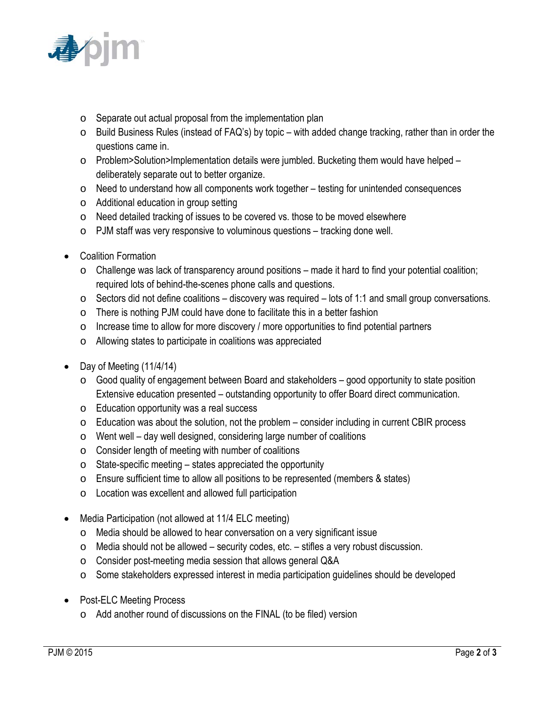

- o Separate out actual proposal from the implementation plan
- o Build Business Rules (instead of FAQ's) by topic with added change tracking, rather than in order the questions came in.
- o Problem>Solution>Implementation details were jumbled. Bucketing them would have helped deliberately separate out to better organize.
- $\circ$  Need to understand how all components work together testing for unintended consequences
- o Additional education in group setting
- o Need detailed tracking of issues to be covered vs. those to be moved elsewhere
- o PJM staff was very responsive to voluminous questions tracking done well.
- Coalition Formation
	- $\circ$  Challenge was lack of transparency around positions made it hard to find your potential coalition; required lots of behind-the-scenes phone calls and questions.
	- $\circ$  Sectors did not define coalitions discovery was required lots of 1:1 and small group conversations.
	- $\circ$  There is nothing PJM could have done to facilitate this in a better fashion
	- o Increase time to allow for more discovery / more opportunities to find potential partners
	- o Allowing states to participate in coalitions was appreciated
- Day of Meeting (11/4/14)
	- $\circ$  Good quality of engagement between Board and stakeholders good opportunity to state position Extensive education presented – outstanding opportunity to offer Board direct communication.
	- o Education opportunity was a real success
	- $\circ$  Education was about the solution, not the problem consider including in current CBIR process
	- $\circ$  Went well day well designed, considering large number of coalitions
	- o Consider length of meeting with number of coalitions
	- $\circ$  State-specific meeting states appreciated the opportunity
	- o Ensure sufficient time to allow all positions to be represented (members & states)
	- o Location was excellent and allowed full participation
- Media Participation (not allowed at 11/4 ELC meeting)
	- o Media should be allowed to hear conversation on a very significant issue
	- $\circ$  Media should not be allowed security codes, etc. stifles a very robust discussion.
	- o Consider post-meeting media session that allows general Q&A
	- o Some stakeholders expressed interest in media participation guidelines should be developed
- Post-ELC Meeting Process
	- o Add another round of discussions on the FINAL (to be filed) version